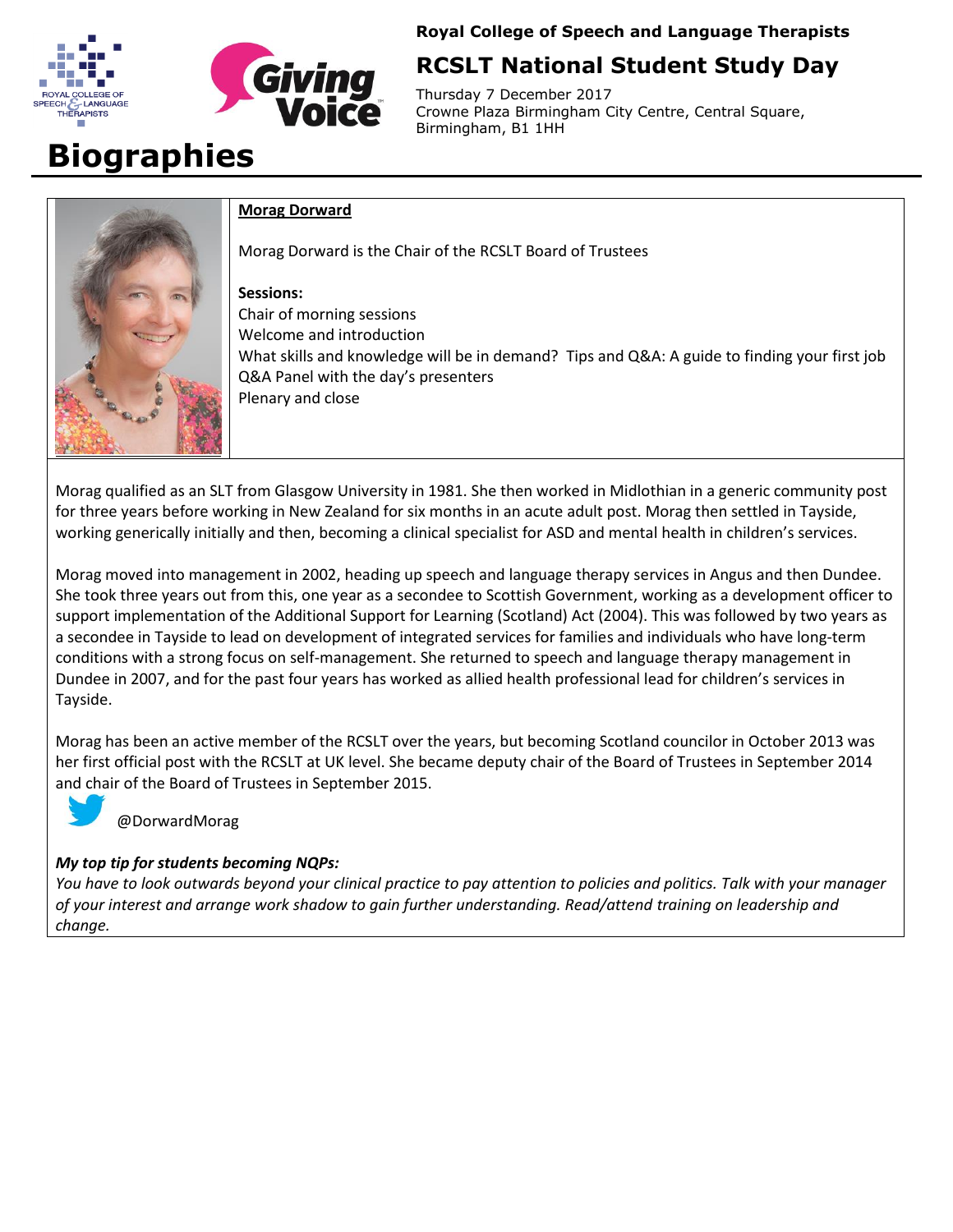



**Royal College of Speech and Language Therapists** 

# **RCSLT National Student Study Day**

Thursday 7 December 2017 Crowne Plaza Birmingham City Centre, Central Square, Birmingham, B1 1HH

# **Biographies**



#### **Morag Dorward**

Morag Dorward is the Chair of the RCSLT Board of Trustees

#### **Sessions:**

Chair of morning sessions Welcome and introduction What skills and knowledge will be in demand? Tips and Q&A: A guide to finding your first job Q&A Panel with the day's presenters Plenary and close

Morag qualified as an SLT from Glasgow University in 1981. She then worked in Midlothian in a generic community post for three years before working in New Zealand for six months in an acute adult post. Morag then settled in Tayside, working generically initially and then, becoming a clinical specialist for ASD and mental health in children's services.

Morag moved into management in 2002, heading up speech and language therapy services in Angus and then Dundee. She took three years out from this, one year as a secondee to Scottish Government, working as a development officer to support implementation of the Additional Support for Learning (Scotland) Act (2004). This was followed by two years as a secondee in Tayside to lead on development of integrated services for families and individuals who have long-term conditions with a strong focus on self-management. She returned to speech and language therapy management in Dundee in 2007, and for the past four years has worked as allied health professional lead for children's services in Tayside.

Morag has been an active member of the RCSLT over the years, but becoming Scotland councilor in October 2013 was her first official post with the RCSLT at UK level. She became deputy chair of the Board of Trustees in September 2014 and chair of the Board of Trustees in September 2015.



@DorwardMorag

# *My top tip for students becoming NQPs:*

*You have to look outwards beyond your clinical practice to pay attention to policies and politics. Talk with your manager of your interest and arrange work shadow to gain further understanding. Read/attend training on leadership and change.*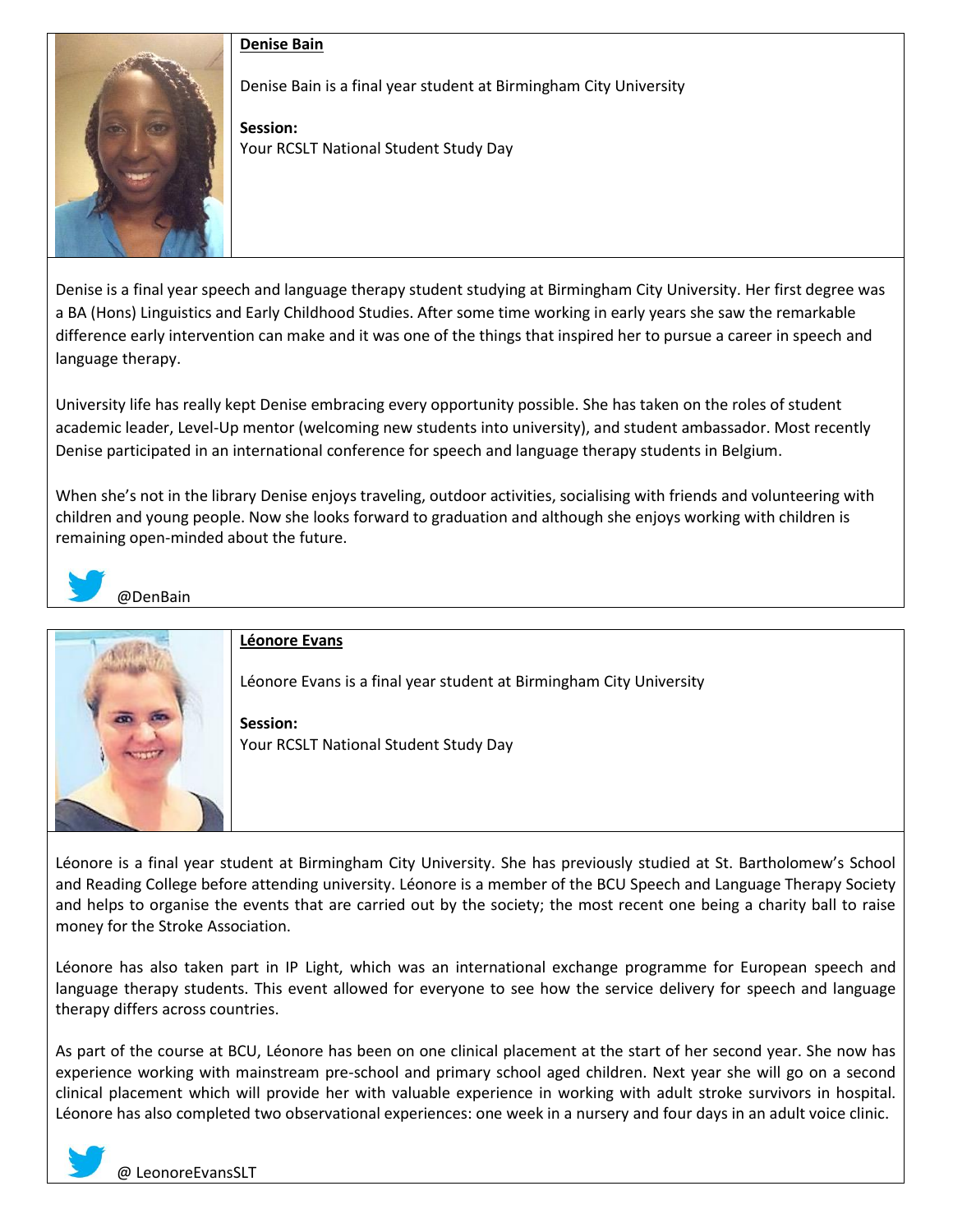# **Denise Bain**



Denise Bain is a final year student at Birmingham City University

**Session:** Your RCSLT National Student Study Day

Denise is a final year speech and language therapy student studying at Birmingham City University. Her first degree was a BA (Hons) Linguistics and Early Childhood Studies. After some time working in early years she saw the remarkable difference early intervention can make and it was one of the things that inspired her to pursue a career in speech and language therapy.

University life has really kept Denise embracing every opportunity possible. She has taken on the roles of student academic leader, Level-Up mentor (welcoming new students into university), and student ambassador. Most recently Denise participated in an international conference for speech and language therapy students in Belgium.

When she's not in the library Denise enjoys traveling, outdoor activities, socialising with friends and volunteering with children and young people. Now she looks forward to graduation and although she enjoys working with children is remaining open-minded about the future.



# @DenBain



Léonore is a final year student at Birmingham City University. She has previously studied at St. Bartholomew's School and Reading College before attending university. Léonore is a member of the BCU Speech and Language Therapy Society and helps to organise the events that are carried out by the society; the most recent one being a charity ball to raise money for the Stroke Association.

Léonore has also taken part in IP Light, which was an international exchange programme for European speech and language therapy students. This event allowed for everyone to see how the service delivery for speech and language therapy differs across countries.

As part of the course at BCU, Léonore has been on one clinical placement at the start of her second year. She now has experience working with mainstream pre-school and primary school aged children. Next year she will go on a second clinical placement which will provide her with valuable experience in working with adult stroke survivors in hospital. Léonore has also completed two observational experiences: one week in a nursery and four days in an adult voice clinic.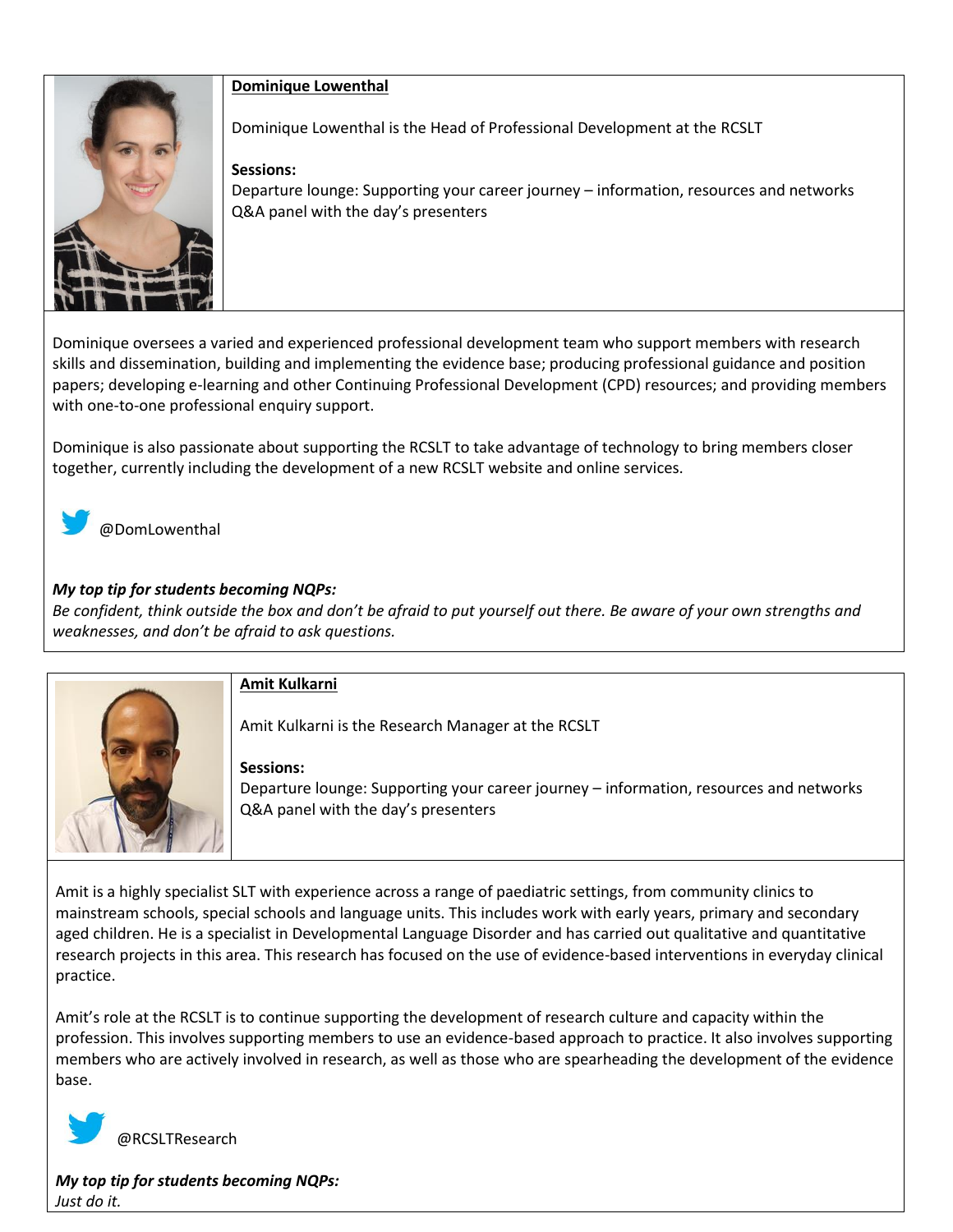

#### **Dominique Lowenthal**

Dominique Lowenthal is the Head of Professional Development at the RCSLT

## **Sessions:**

Departure lounge: Supporting your career journey – information, resources and networks Q&A panel with the day's presenters

Dominique oversees a varied and experienced professional development team who support members with research skills and dissemination, building and implementing the evidence base; producing professional guidance and position papers; developing e-learning and other Continuing Professional Development (CPD) resources; and providing members with one-to-one professional enquiry support.

Dominique is also passionate about supporting the RCSLT to take advantage of technology to bring members closer together, currently including the development of a new RCSLT website and online services.



@DomLowenthal

# *My top tip for students becoming NQPs:*

*Be confident, think outside the box and don't be afraid to put yourself out there. Be aware of your own strengths and weaknesses, and don't be afraid to ask questions.*



# **Amit Kulkarni**

Amit Kulkarni is the Research Manager at the RCSLT

#### **Sessions:**

Departure lounge: Supporting your career journey – information, resources and networks Q&A panel with the day's presenters

Amit is a highly specialist SLT with experience across a range of paediatric settings, from community clinics to mainstream schools, special schools and language units. This includes work with early years, primary and secondary aged children. He is a specialist in Developmental Language Disorder and has carried out qualitative and quantitative research projects in this area. This research has focused on the use of evidence-based interventions in everyday clinical practice.

Amit's role at the RCSLT is to continue supporting the development of research culture and capacity within the profession. This involves supporting members to use an evidence-based approach to practice. It also involves supporting members who are actively involved in research, as well as those who are spearheading the development of the evidence base.



@RCSLTResearch

*My top tip for students becoming NQPs: Just do it.*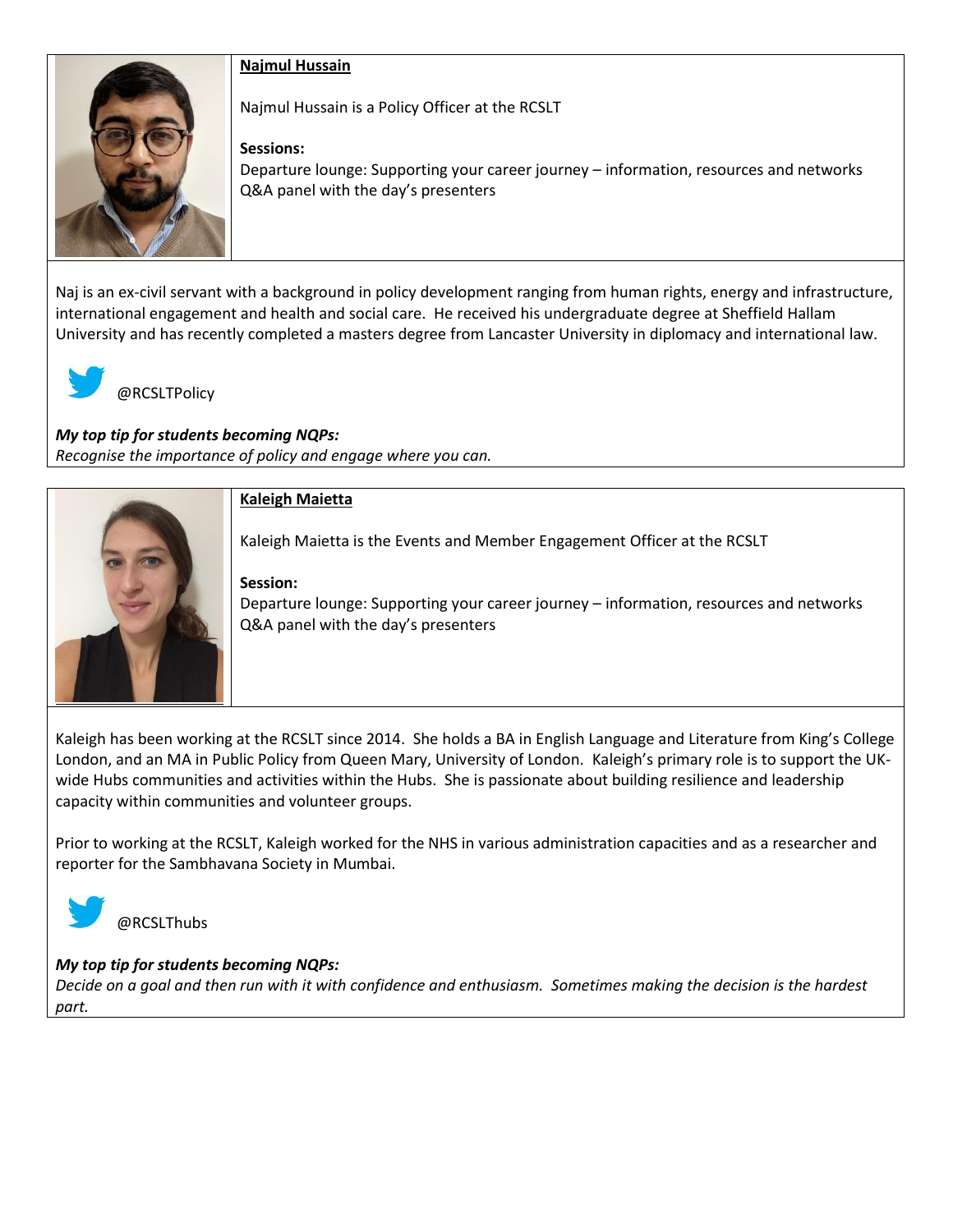# **Najmul Hussain**



Najmul Hussain is a Policy Officer at the RCSLT

# **Sessions:**

Departure lounge: Supporting your career journey – information, resources and networks Q&A panel with the day's presenters

Naj is an ex-civil servant with a background in policy development ranging from human rights, energy and infrastructure, international engagement and health and social care. He received his undergraduate degree at Sheffield Hallam University and has recently completed a masters degree from Lancaster University in diplomacy and international law.



@RCSLTPolicy

*My top tip for students becoming NQPs: Recognise the importance of policy and engage where you can.*



Kaleigh has been working at the RCSLT since 2014. She holds a BA in English Language and Literature from King's College London, and an MA in Public Policy from Queen Mary, University of London. Kaleigh's primary role is to support the UKwide Hubs communities and activities within the Hubs. She is passionate about building resilience and leadership capacity within communities and volunteer groups.

Prior to working at the RCSLT, Kaleigh worked for the NHS in various administration capacities and as a researcher and reporter for the Sambhavana Society in Mumbai.



@RCSLThubs

# *My top tip for students becoming NQPs:*

*Decide on a goal and then run with it with confidence and enthusiasm. Sometimes making the decision is the hardest part.*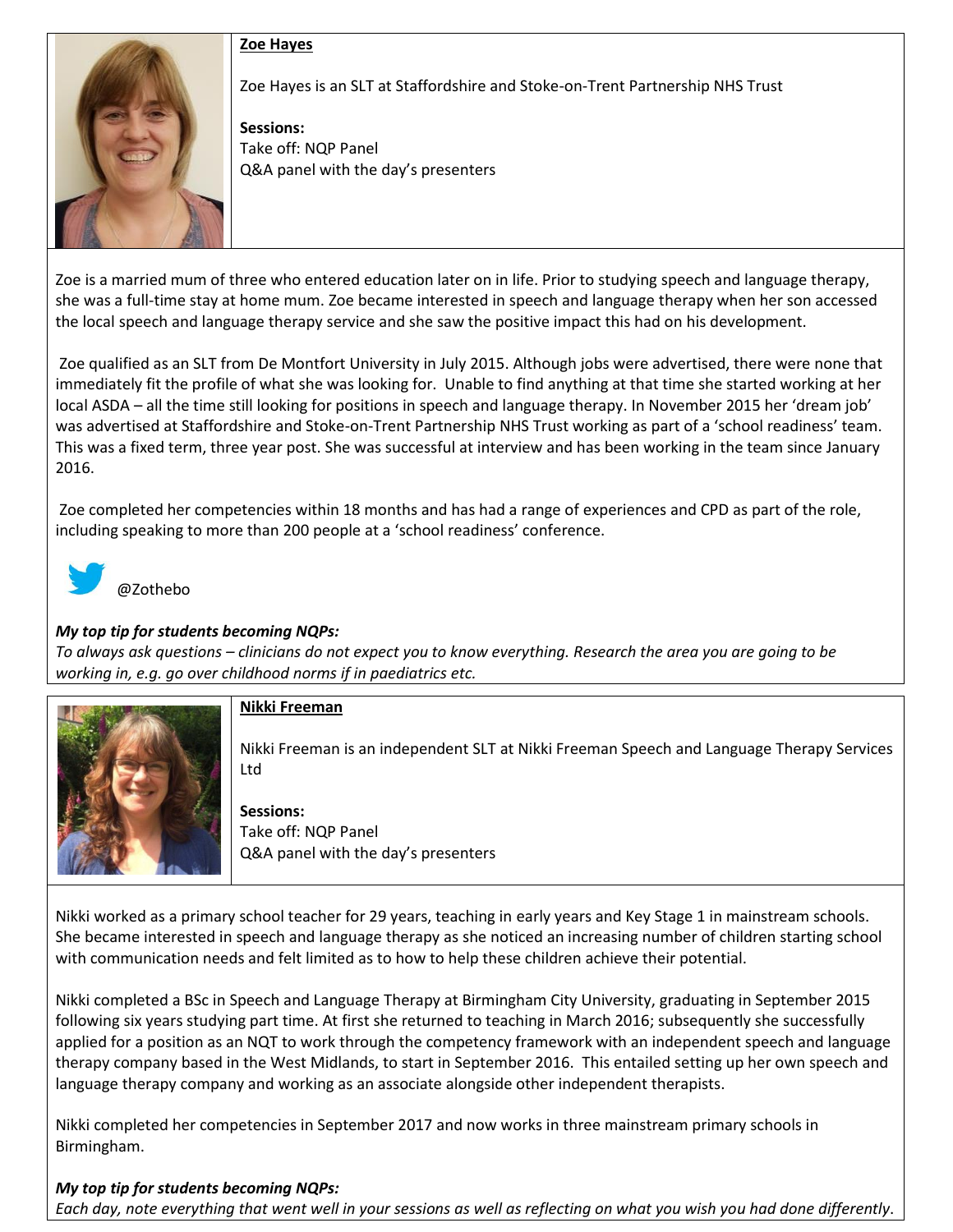#### **Zoe Hayes**



#### Zoe Hayes is an SLT at Staffordshire and Stoke-on-Trent Partnership NHS Trust

**Sessions:**  Take off: NQP Panel Q&A panel with the day's presenters

Zoe is a married mum of three who entered education later on in life. Prior to studying speech and language therapy, she was a full-time stay at home mum. Zoe became interested in speech and language therapy when her son accessed the local speech and language therapy service and she saw the positive impact this had on his development.

Zoe qualified as an SLT from De Montfort University in July 2015. Although jobs were advertised, there were none that immediately fit the profile of what she was looking for. Unable to find anything at that time she started working at her local ASDA – all the time still looking for positions in speech and language therapy. In November 2015 her 'dream job' was advertised at Staffordshire and Stoke-on-Trent Partnership NHS Trust working as part of a 'school readiness' team. This was a fixed term, three year post. She was successful at interview and has been working in the team since January 2016.

Zoe completed her competencies within 18 months and has had a range of experiences and CPD as part of the role, including speaking to more than 200 people at a 'school readiness' conference.



# @Zothebo

#### *My top tip for students becoming NQPs:*

*To always ask questions – clinicians do not expect you to know everything. Research the area you are going to be working in, e.g. go over childhood norms if in paediatrics etc.*



# **Nikki Freeman**

Nikki Freeman is an independent SLT at Nikki Freeman Speech and Language Therapy Services Ltd

**Sessions:**  Take off: NQP Panel Q&A panel with the day's presenters

Nikki worked as a primary school teacher for 29 years, teaching in early years and Key Stage 1 in mainstream schools. She became interested in speech and language therapy as she noticed an increasing number of children starting school with communication needs and felt limited as to how to help these children achieve their potential.

Nikki completed a BSc in Speech and Language Therapy at Birmingham City University, graduating in September 2015 following six years studying part time. At first she returned to teaching in March 2016; subsequently she successfully applied for a position as an NQT to work through the competency framework with an independent speech and language therapy company based in the West Midlands, to start in September 2016. This entailed setting up her own speech and language therapy company and working as an associate alongside other independent therapists.

Nikki completed her competencies in September 2017 and now works in three mainstream primary schools in Birmingham.

# *My top tip for students becoming NQPs:*

*Each day, note everything that went well in your sessions as well as reflecting on what you wish you had done differently*.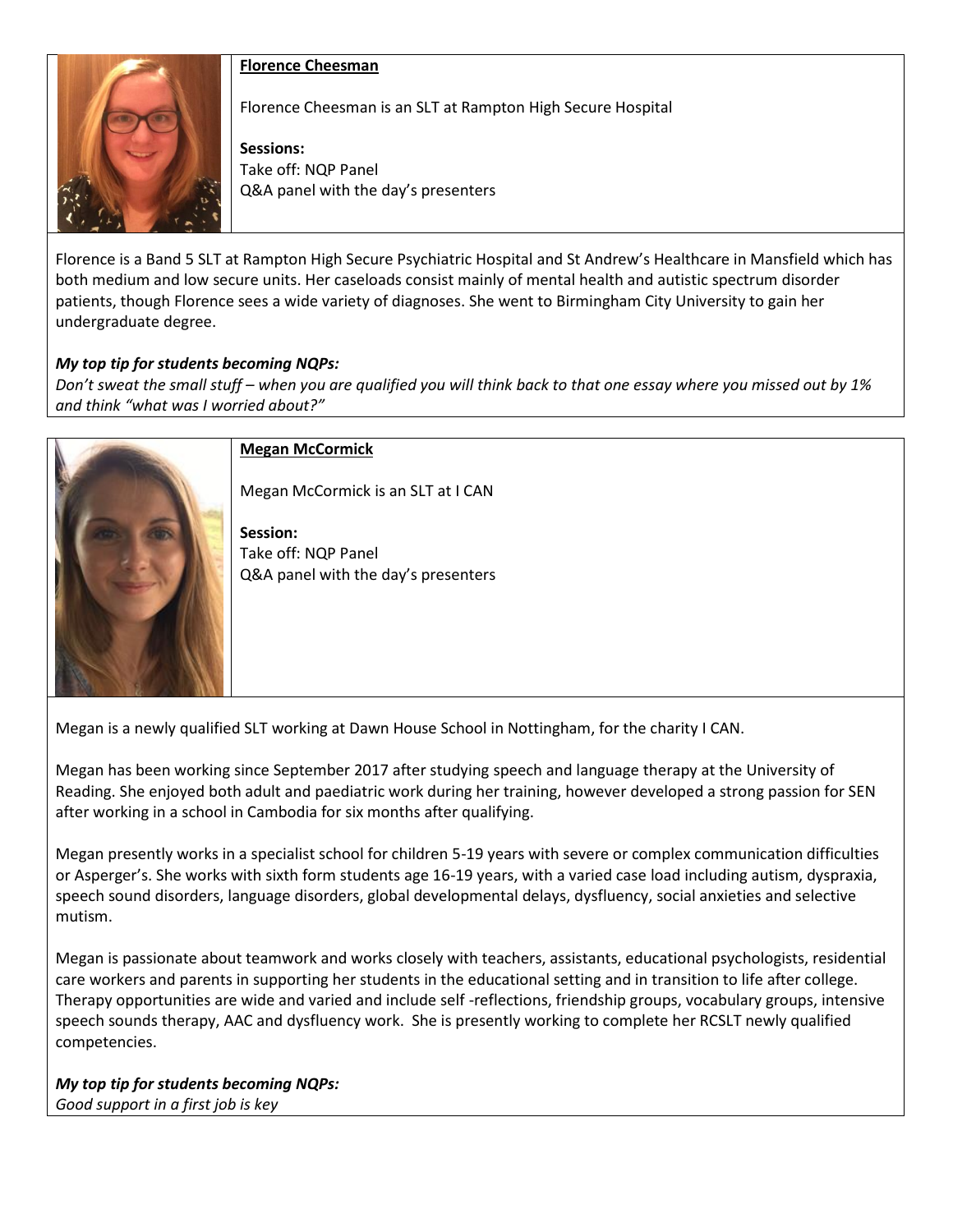

#### **Florence Cheesman**

Florence Cheesman is an SLT at Rampton High Secure Hospital

**Sessions:**  Take off: NQP Panel Q&A panel with the day's presenters

Florence is a Band 5 SLT at Rampton High Secure Psychiatric Hospital and St Andrew's Healthcare in Mansfield which has both medium and low secure units. Her caseloads consist mainly of mental health and autistic spectrum disorder patients, though Florence sees a wide variety of diagnoses. She went to Birmingham City University to gain her undergraduate degree.

#### *My top tip for students becoming NQPs:*

*Don't sweat the small stuff – when you are qualified you will think back to that one essay where you missed out by 1% and think "what was I worried about?"*



#### **Megan McCormick**

Megan McCormick is an SLT at I CAN

**Session:**  Take off: NQP Panel Q&A panel with the day's presenters

Megan is a newly qualified SLT working at Dawn House School in Nottingham, for the charity I CAN.

Megan has been working since September 2017 after studying speech and language therapy at the University of Reading. She enjoyed both adult and paediatric work during her training, however developed a strong passion for SEN after working in a school in Cambodia for six months after qualifying.

Megan presently works in a specialist school for children 5-19 years with severe or complex communication difficulties or Asperger's. She works with sixth form students age 16-19 years, with a varied case load including autism, dyspraxia, speech sound disorders, language disorders, global developmental delays, dysfluency, social anxieties and selective mutism.

Megan is passionate about teamwork and works closely with teachers, assistants, educational psychologists, residential care workers and parents in supporting her students in the educational setting and in transition to life after college. Therapy opportunities are wide and varied and include self -reflections, friendship groups, vocabulary groups, intensive speech sounds therapy, AAC and dysfluency work. She is presently working to complete her RCSLT newly qualified competencies.

*My top tip for students becoming NQPs: Good support in a first job is key*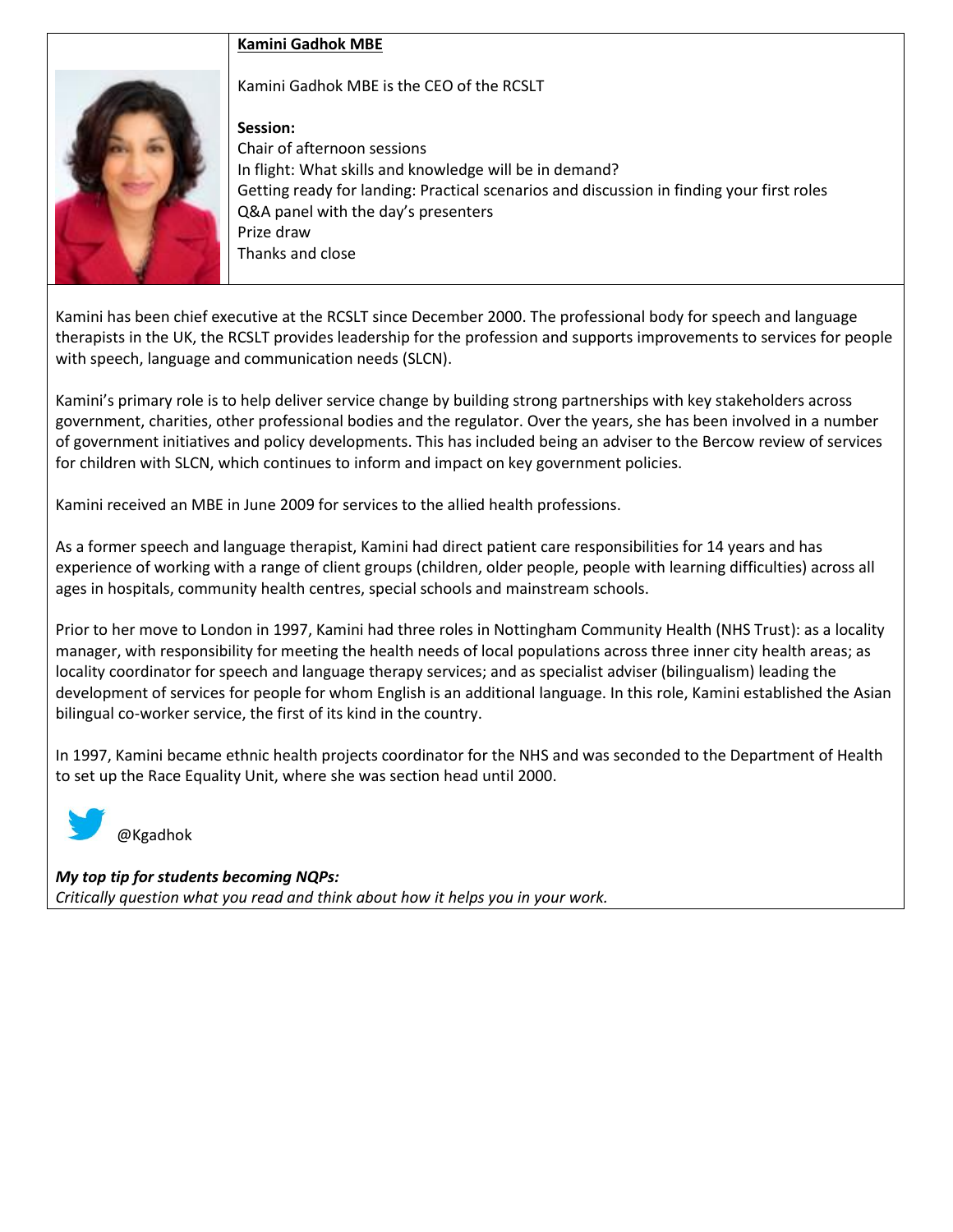# **Kamini Gadhok MBE**

Kamini Gadhok MBE is the CEO of the RCSLT

# **Session:**

Chair of afternoon sessions In flight: What skills and knowledge will be in demand? Getting ready for landing: Practical scenarios and discussion in finding your first roles Q&A panel with the day's presenters Prize draw Thanks and close

Kamini has been chief executive at the RCSLT since December 2000. The professional body for speech and language therapists in the UK, the RCSLT provides leadership for the profession and supports improvements to services for people with speech, language and communication needs (SLCN).

Kamini's primary role is to help deliver service change by building strong partnerships with key stakeholders across government, charities, other professional bodies and the regulator. Over the years, she has been involved in a number of government initiatives and policy developments. This has included being an adviser to the Bercow review of services for children with SLCN, which continues to inform and impact on key government policies.

Kamini received an MBE in June 2009 for services to the allied health professions.

As a former speech and language therapist, Kamini had direct patient care responsibilities for 14 years and has experience of working with a range of client groups (children, older people, people with learning difficulties) across all ages in hospitals, community health centres, special schools and mainstream schools.

Prior to her move to London in 1997, Kamini had three roles in Nottingham Community Health (NHS Trust): as a locality manager, with responsibility for meeting the health needs of local populations across three inner city health areas; as locality coordinator for speech and language therapy services; and as specialist adviser (bilingualism) leading the development of services for people for whom English is an additional language. In this role, Kamini established the Asian bilingual co-worker service, the first of its kind in the country.

In 1997, Kamini became ethnic health projects coordinator for the NHS and was seconded to the Department of Health to set up the Race Equality Unit, where she was section head until 2000.



@Kgadhok

*My top tip for students becoming NQPs: Critically question what you read and think about how it helps you in your work.*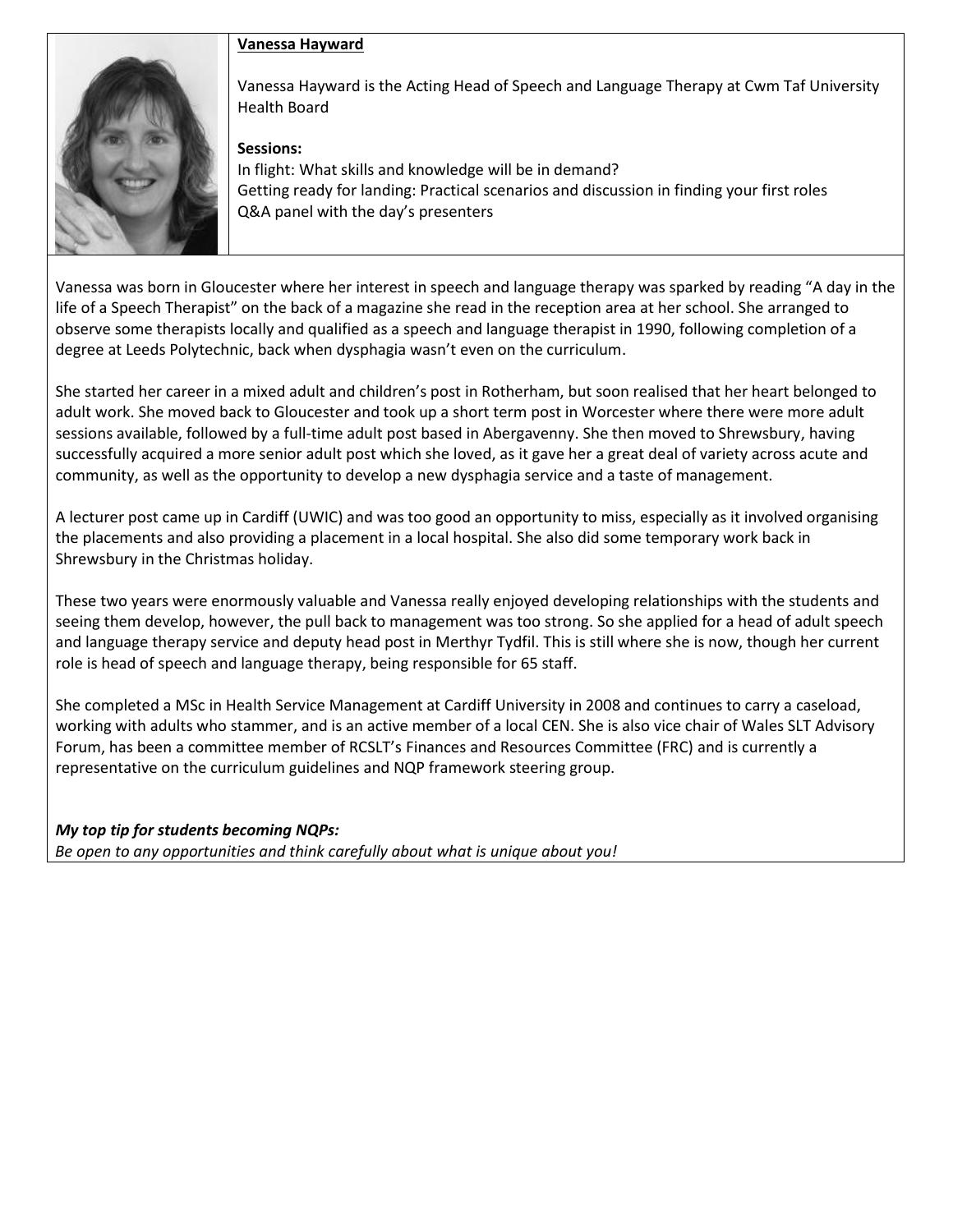# **Vanessa Hayward**



Vanessa Hayward is the Acting Head of Speech and Language Therapy at Cwm Taf University Health Board

#### **Sessions:**

In flight: What skills and knowledge will be in demand? Getting ready for landing: Practical scenarios and discussion in finding your first roles Q&A panel with the day's presenters

Vanessa was born in Gloucester where her interest in speech and language therapy was sparked by reading "A day in the life of a Speech Therapist" on the back of a magazine she read in the reception area at her school. She arranged to observe some therapists locally and qualified as a speech and language therapist in 1990, following completion of a degree at Leeds Polytechnic, back when dysphagia wasn't even on the curriculum.

She started her career in a mixed adult and children's post in Rotherham, but soon realised that her heart belonged to adult work. She moved back to Gloucester and took up a short term post in Worcester where there were more adult sessions available, followed by a full-time adult post based in Abergavenny. She then moved to Shrewsbury, having successfully acquired a more senior adult post which she loved, as it gave her a great deal of variety across acute and community, as well as the opportunity to develop a new dysphagia service and a taste of management.

A lecturer post came up in Cardiff (UWIC) and was too good an opportunity to miss, especially as it involved organising the placements and also providing a placement in a local hospital. She also did some temporary work back in Shrewsbury in the Christmas holiday.

These two years were enormously valuable and Vanessa really enjoyed developing relationships with the students and seeing them develop, however, the pull back to management was too strong. So she applied for a head of adult speech and language therapy service and deputy head post in Merthyr Tydfil. This is still where she is now, though her current role is head of speech and language therapy, being responsible for 65 staff.

She completed a MSc in Health Service Management at Cardiff University in 2008 and continues to carry a caseload, working with adults who stammer, and is an active member of a local CEN. She is also vice chair of Wales SLT Advisory Forum, has been a committee member of RCSLT's Finances and Resources Committee (FRC) and is currently a representative on the curriculum guidelines and NQP framework steering group.

*My top tip for students becoming NQPs: Be open to any opportunities and think carefully about what is unique about you!*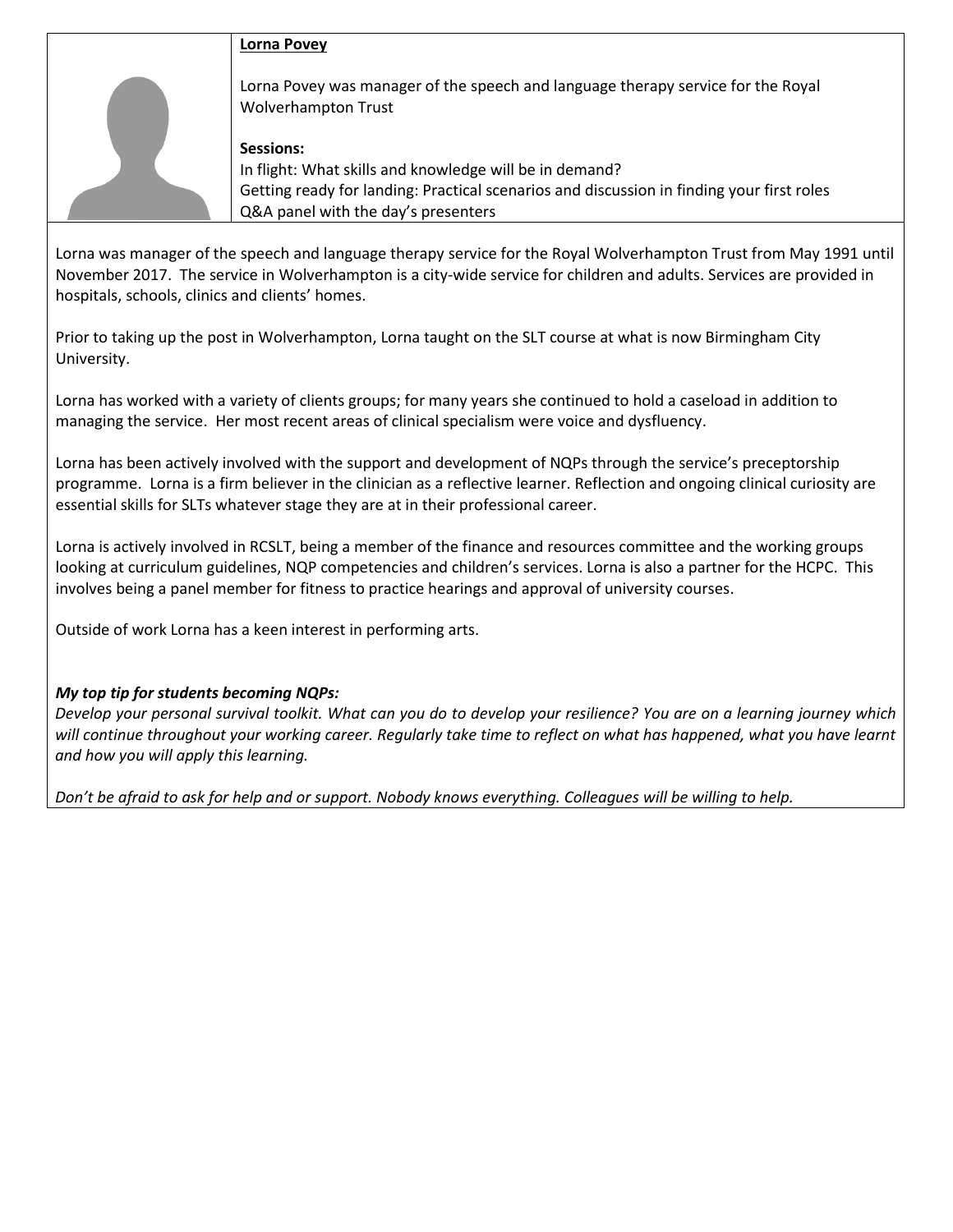#### **Lorna Povey**

Lorna Povey was manager of the speech and language therapy service for the Royal Wolverhampton Trust

#### **Sessions:**

In flight: What skills and knowledge will be in demand? Getting ready for landing: Practical scenarios and discussion in finding your first roles Q&A panel with the day's presenters

Lorna was manager of the speech and language therapy service for the Royal Wolverhampton Trust from May 1991 until November 2017. The service in Wolverhampton is a city-wide service for children and adults. Services are provided in hospitals, schools, clinics and clients' homes.

Prior to taking up the post in Wolverhampton, Lorna taught on the SLT course at what is now Birmingham City University.

Lorna has worked with a variety of clients groups; for many years she continued to hold a caseload in addition to managing the service. Her most recent areas of clinical specialism were voice and dysfluency.

Lorna has been actively involved with the support and development of NQPs through the service's preceptorship programme. Lorna is a firm believer in the clinician as a reflective learner. Reflection and ongoing clinical curiosity are essential skills for SLTs whatever stage they are at in their professional career.

Lorna is actively involved in RCSLT, being a member of the finance and resources committee and the working groups looking at curriculum guidelines, NQP competencies and children's services. Lorna is also a partner for the HCPC. This involves being a panel member for fitness to practice hearings and approval of university courses.

Outside of work Lorna has a keen interest in performing arts.

# *My top tip for students becoming NQPs:*

*Develop your personal survival toolkit. What can you do to develop your resilience? You are on a learning journey which will continue throughout your working career. Regularly take time to reflect on what has happened, what you have learnt and how you will apply this learning.*

*Don't be afraid to ask for help and or support. Nobody knows everything. Colleagues will be willing to help.*